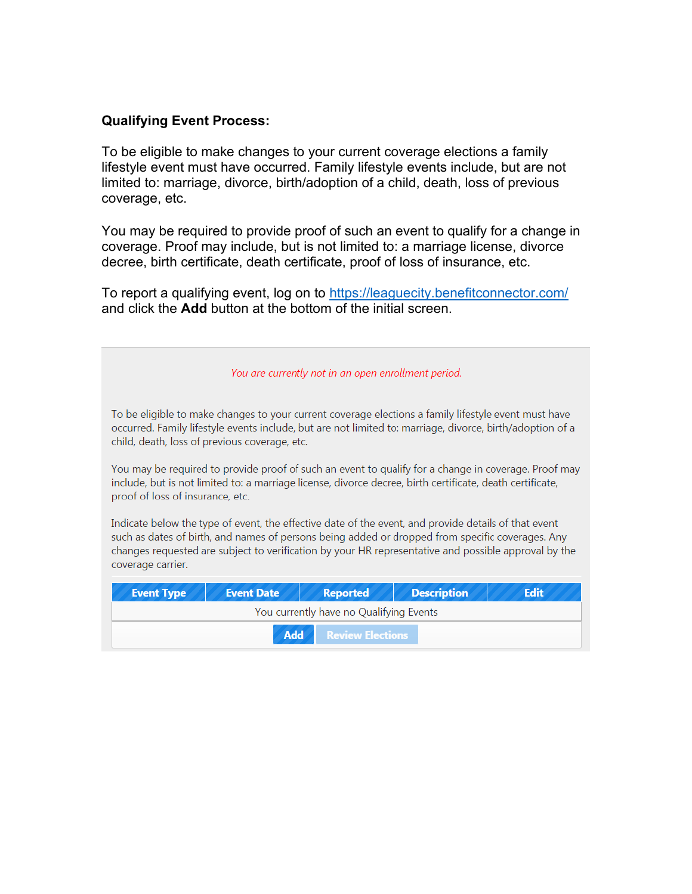## **Qualifying Event Process:**

To be eligible to make changes to your current coverage elections a family lifestyle event must have occurred. Family lifestyle events include, but are not limited to: marriage, divorce, birth/adoption of a child, death, loss of previous coverage, etc.

You may be required to provide proof of such an event to qualify for a change in coverage. Proof may include, but is not limited to: a marriage license, divorce decree, birth certificate, death certificate, proof of loss of insurance, etc.

To report a qualifying event, log on to<https://leaguecity.benefitconnector.com/> and click the **Add** button at the bottom of the initial screen.

You are currently not in an open enrollment period.

To be eligible to make changes to your current coverage elections a family lifestyle event must have occurred. Family lifestyle events include, but are not limited to: marriage, divorce, birth/adoption of a child, death, loss of previous coverage, etc.

You may be required to provide proof of such an event to qualify for a change in coverage. Proof may include, but is not limited to: a marriage license, divorce decree, birth certificate, death certificate, proof of loss of insurance, etc.

Indicate below the type of event, the effective date of the event, and provide details of that event such as dates of birth, and names of persons being added or dropped from specific coverages. Any changes requested are subject to verification by your HR representative and possible approval by the coverage carrier.

| <b>Event Type</b>                       | Event Date | Reported | <b>Description</b> | <b>Edit</b> |  |
|-----------------------------------------|------------|----------|--------------------|-------------|--|
| You currently have no Qualifying Events |            |          |                    |             |  |
| Add Review Elections                    |            |          |                    |             |  |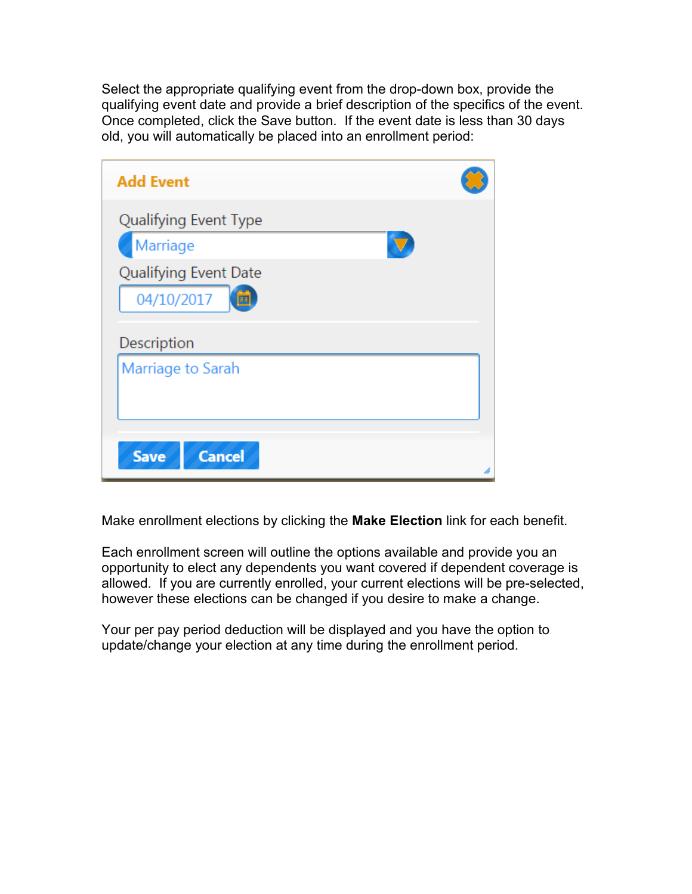Select the appropriate qualifying event from the drop-down box, provide the qualifying event date and provide a brief description of the specifics of the event. Once completed, click the Save button. If the event date is less than 30 days old, you will automatically be placed into an enrollment period:

| <b>Add Event</b>                                                              |  |
|-------------------------------------------------------------------------------|--|
| Qualifying Event Type<br>Marriage<br>Qualifying Event Date<br>04/10/2017<br>笝 |  |
| Description<br>Marriage to Sarah                                              |  |
| <b>Cancel</b><br><b>Save</b>                                                  |  |

Make enrollment elections by clicking the **Make Election** link for each benefit.

Each enrollment screen will outline the options available and provide you an opportunity to elect any dependents you want covered if dependent coverage is allowed. If you are currently enrolled, your current elections will be pre-selected, however these elections can be changed if you desire to make a change.

Your per pay period deduction will be displayed and you have the option to update/change your election at any time during the enrollment period.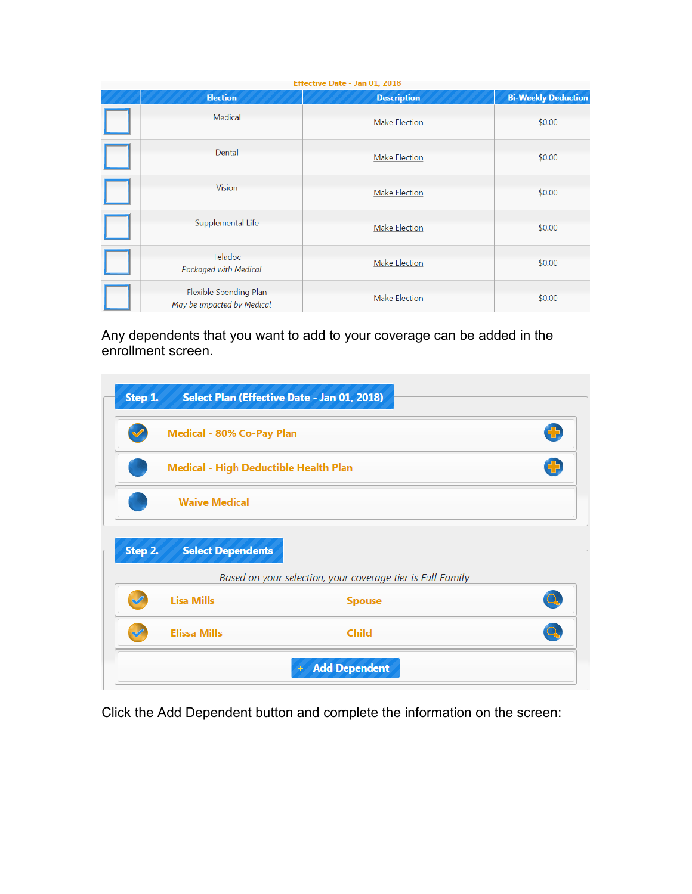| Effective Date - Jan U1, 2018 |                                                      |                      |                            |  |
|-------------------------------|------------------------------------------------------|----------------------|----------------------------|--|
|                               | <b>Election</b>                                      | <b>Description</b>   | <b>Bi-Weekly Deduction</b> |  |
|                               | Medical                                              | <b>Make Election</b> | \$0.00                     |  |
|                               | Dental                                               | <b>Make Election</b> | \$0.00                     |  |
|                               | <b>Vision</b>                                        | <b>Make Election</b> | \$0.00                     |  |
|                               | Supplemental Life                                    | <b>Make Election</b> | \$0.00                     |  |
|                               | Teladoc<br>Packaged with Medical                     | <b>Make Election</b> | \$0.00                     |  |
|                               | Flexible Spending Plan<br>May be impacted by Medical | <b>Make Election</b> | \$0.00                     |  |

Any dependents that you want to add to your coverage can be added in the enrollment screen.

| ᢦ       | Medical - 80% Co-Pay Plan             |                                                            | Ð  |
|---------|---------------------------------------|------------------------------------------------------------|----|
|         | Medical - High Deductible Health Plan |                                                            | Ф  |
|         | <b>Waive Medical</b>                  |                                                            |    |
| Step 2. | <b>Select Dependents</b>              |                                                            |    |
|         |                                       | Based on your selection, your coverage tier is Full Family |    |
| E       | <b>Lisa Mills</b>                     | <b>Spouse</b>                                              | Q. |
|         | <b>Elissa Mills</b>                   | <b>Child</b>                                               |    |

Click the Add Dependent button and complete the information on the screen: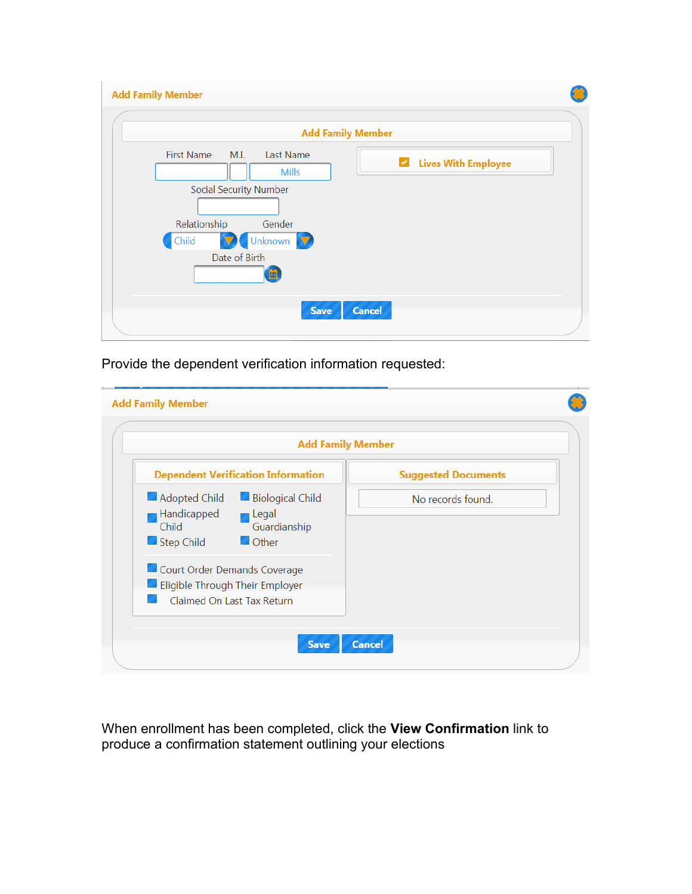| <b>Add Family Member</b>                                                                             |  |
|------------------------------------------------------------------------------------------------------|--|
| <b>Add Family Member</b>                                                                             |  |
| <b>First Name</b><br>M.I.<br>Last Name<br><b>Lives With Employee</b><br>$\checkmark$<br><b>Mills</b> |  |
| <b>Social Security Number</b>                                                                        |  |
| Relationship<br>Gender<br>V Unknown V<br>Child                                                       |  |
| Date of Birth<br>õ                                                                                   |  |
| <b>Cancel</b><br><b>Save</b>                                                                         |  |

Provide the dependent verification information requested:

| <b>Add Family Member</b>                                                                                                |                            |
|-------------------------------------------------------------------------------------------------------------------------|----------------------------|
| <b>Dependent Verification Information</b>                                                                               | <b>Suggested Documents</b> |
| <b>Biological Child</b><br>Adopted Child<br>Handicapped<br>Legal<br>Guardianship<br>Child<br><b>Other</b><br>Step Child | No records found.          |
| Court Order Demands Coverage<br><b>Eligible Through Their Employer</b><br>Claimed On Last Tax Return                    |                            |

When enrollment has been completed, click the **View Confirmation** link to produce a confirmation statement outlining your elections